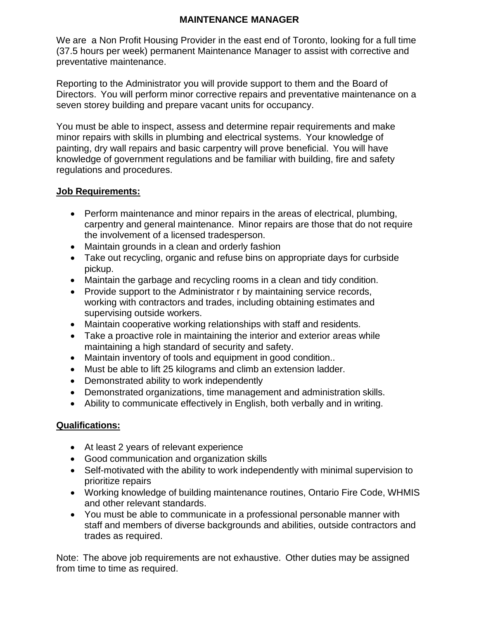## **MAINTENANCE MANAGER**

We are a Non Profit Housing Provider in the east end of Toronto, looking for a full time (37.5 hours per week) permanent Maintenance Manager to assist with corrective and preventative maintenance.

Reporting to the Administrator you will provide support to them and the Board of Directors. You will perform minor corrective repairs and preventative maintenance on a seven storey building and prepare vacant units for occupancy.

You must be able to inspect, assess and determine repair requirements and make minor repairs with skills in plumbing and electrical systems. Your knowledge of painting, dry wall repairs and basic carpentry will prove beneficial. You will have knowledge of government regulations and be familiar with building, fire and safety regulations and procedures.

## **Job Requirements:**

- Perform maintenance and minor repairs in the areas of electrical, plumbing, carpentry and general maintenance. Minor repairs are those that do not require the involvement of a licensed tradesperson.
- Maintain grounds in a clean and orderly fashion
- Take out recycling, organic and refuse bins on appropriate days for curbside pickup.
- Maintain the garbage and recycling rooms in a clean and tidy condition.
- Provide support to the Administrator r by maintaining service records, working with contractors and trades, including obtaining estimates and supervising outside workers.
- Maintain cooperative working relationships with staff and residents.
- Take a proactive role in maintaining the interior and exterior areas while maintaining a high standard of security and safety.
- Maintain inventory of tools and equipment in good condition..
- Must be able to lift 25 kilograms and climb an extension ladder.
- Demonstrated ability to work independently
- Demonstrated organizations, time management and administration skills.
- Ability to communicate effectively in English, both verbally and in writing.

## **Qualifications:**

- At least 2 years of relevant experience
- Good communication and organization skills
- Self-motivated with the ability to work independently with minimal supervision to prioritize repairs
- Working knowledge of building maintenance routines, Ontario Fire Code, WHMIS and other relevant standards.
- You must be able to communicate in a professional personable manner with staff and members of diverse backgrounds and abilities, outside contractors and trades as required.

Note: The above job requirements are not exhaustive. Other duties may be assigned from time to time as required.